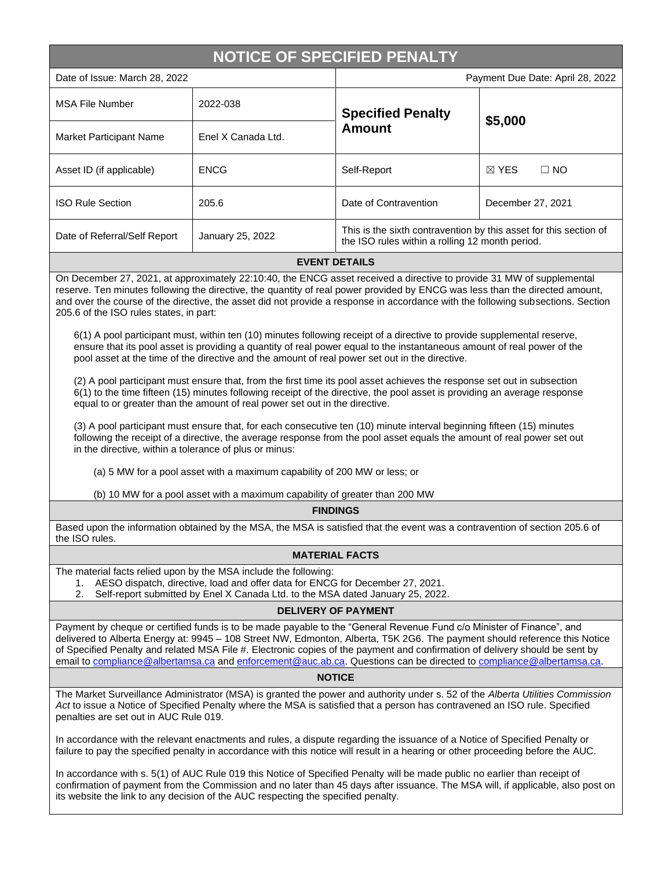# **NOTICE OF SPECIFIED PENALTY**

| Date of Issue: March 28, 2022  |                    | Payment Due Date: April 28, 2022                                                                                     |                              |  |
|--------------------------------|--------------------|----------------------------------------------------------------------------------------------------------------------|------------------------------|--|
| <b>MSA File Number</b>         | 2022-038           | <b>Specified Penalty</b><br>Amount                                                                                   | \$5,000                      |  |
| <b>Market Participant Name</b> | Enel X Canada Ltd. |                                                                                                                      |                              |  |
| Asset ID (if applicable)       | <b>ENCG</b>        | Self-Report                                                                                                          | $\boxtimes$ YES<br>$\Box$ NO |  |
| <b>ISO Rule Section</b>        | 205.6              | Date of Contravention                                                                                                | December 27, 2021            |  |
| Date of Referral/Self Report   | January 25, 2022   | This is the sixth contravention by this asset for this section of<br>the ISO rules within a rolling 12 month period. |                              |  |
| <b>EVENT DETAILS</b>           |                    |                                                                                                                      |                              |  |

On December 27, 2021, at approximately 22:10:40, the ENCG asset received a directive to provide 31 MW of supplemental reserve. Ten minutes following the directive, the quantity of real power provided by ENCG was less than the directed amount, and over the course of the directive, the asset did not provide a response in accordance with the following subsections. Section 205.6 of the ISO rules states, in part:

6(1) A pool participant must, within ten (10) minutes following receipt of a directive to provide supplemental reserve, ensure that its pool asset is providing a quantity of real power equal to the instantaneous amount of real power of the pool asset at the time of the directive and the amount of real power set out in the directive.

(2) A pool participant must ensure that, from the first time its pool asset achieves the response set out in subsection 6(1) to the time fifteen (15) minutes following receipt of the directive, the pool asset is providing an average response equal to or greater than the amount of real power set out in the directive.

(3) A pool participant must ensure that, for each consecutive ten (10) minute interval beginning fifteen (15) minutes following the receipt of a directive, the average response from the pool asset equals the amount of real power set out in the directive, within a tolerance of plus or minus:

(a) 5 MW for a pool asset with a maximum capability of 200 MW or less; or

(b) 10 MW for a pool asset with a maximum capability of greater than 200 MW

#### **FINDINGS**

Based upon the information obtained by the MSA, the MSA is satisfied that the event was a contravention of section 205.6 of the ISO rules.

#### **MATERIAL FACTS**

The material facts relied upon by the MSA include the following:

1. AESO dispatch, directive, load and offer data for ENCG for December 27, 2021.

2. Self-report submitted by Enel X Canada Ltd. to the MSA dated January 25, 2022.

### **DELIVERY OF PAYMENT**

Payment by cheque or certified funds is to be made payable to the "General Revenue Fund c/o Minister of Finance", and delivered to Alberta Energy at: 9945 – 108 Street NW, Edmonton, Alberta, T5K 2G6. The payment should reference this Notice of Specified Penalty and related MSA File #. Electronic copies of the payment and confirmation of delivery should be sent by email to [compliance@albertamsa.ca](mailto:compliance@albertamsa.ca) and [enforcement@auc.ab.ca.](mailto:enforcement@auc.ab.ca) Questions can be directed to [compliance@albertamsa.ca.](mailto:compliance@albertamsa.ca)

## **NOTICE**

The Market Surveillance Administrator (MSA) is granted the power and authority under s. 52 of the *Alberta Utilities Commission Act* to issue a Notice of Specified Penalty where the MSA is satisfied that a person has contravened an ISO rule. Specified penalties are set out in AUC Rule 019.

In accordance with the relevant enactments and rules, a dispute regarding the issuance of a Notice of Specified Penalty or failure to pay the specified penalty in accordance with this notice will result in a hearing or other proceeding before the AUC.

In accordance with s. 5(1) of AUC Rule 019 this Notice of Specified Penalty will be made public no earlier than receipt of confirmation of payment from the Commission and no later than 45 days after issuance. The MSA will, if applicable, also post on its website the link to any decision of the AUC respecting the specified penalty.